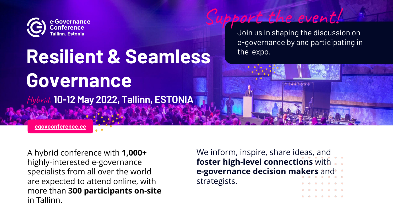We inform, inspire, share ideas, and **foster high-level connections** with **e-governance decision makers** and strategists.

A hybrid conference with **1,000+**  highly-interested e-governance specialists from all over the world are expected to attend online, with more than **300 participants on-site**  in Tallinn.



# **Resilient & Seamless Governance Hybrid.** 10-12 May 2022, Tallinn, ESTONIA

**[egovconference.ee](http://www.egovconference.ee/)**

Join us in shaping the discussion on e-governance by and participating in the expo.

event!

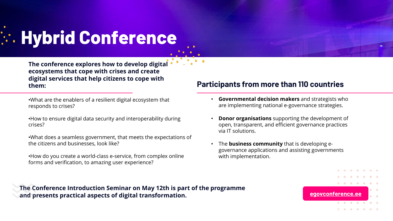# **Hybrid Conference**

• **Governmental decision makers** and strategists who are implementing national e-governance strategies.

**Donor organisations** supporting the development of open, transparent, and efficient governance practices via IT solutions.

• The **business community** that is developing egovernance applications and assisting governments with implementation.



### **The Conference Introduction Seminar on May 12th is part of the programme and presents practical aspects of digital transformation.**

•What are the enablers of a resilient digital ecosystem that responds to crises?

•How to ensure digital data security and interoperability during crises?

•What does a seamless government, that meets the expectations of the citizens and businesses, look like?

•How do you create a world-class e-service, from complex online forms and verification, to amazing user experience?

**The conference explores how to develop digital ecosystems that cope with crises and create digital services that help citizens to cope with** 

## **them: Participants from more than 110 countries**

- 
- 
- 

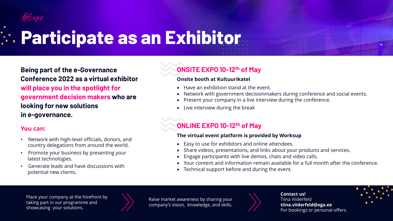**Being part of the e-Governance Conference 2022 as a virtual exhibitor will place you in the spotlight for government decision makers who are looking for new solutions in e-governance.** 

#### **You can:**

### **ONSITE EXPO 10-12th of May**

#### **Onsite booth at Kultuurikatel**

- Have an exhibition stand at the event.
- Network with government decisionmakers during conference and social events.
- Present your company in a live interview during the conference.
- Live interview during the break

### **ONLINE EXPO 10-12th of May**

#### **The virtual event platform is provided by Worksup**

- Easy to use for exhibitors and online attendees.
- Share videos, presentations, and links about your products and services.
- Engage participants with live demos, chats and video calls.
- Your content and information remain available for a full month after the conference.
- Technical support before and during the event.

# **Participate as an Exhibitor**

- Network with high-level officials, donors, and country delegations from around the world.
- Promote your business by presenting your latest technologies.
- Generate leads and have discussions with potential new clients.

Place your company at the forefront by taking part in our programme and showcasing your solutions.



Raise market awareness by sharing your company's vision, knowledge, and skills.







**Contact us!** Tiina Viiderfeld **tiina.viiderfeld@ega.ee** For bookings or personal offers.